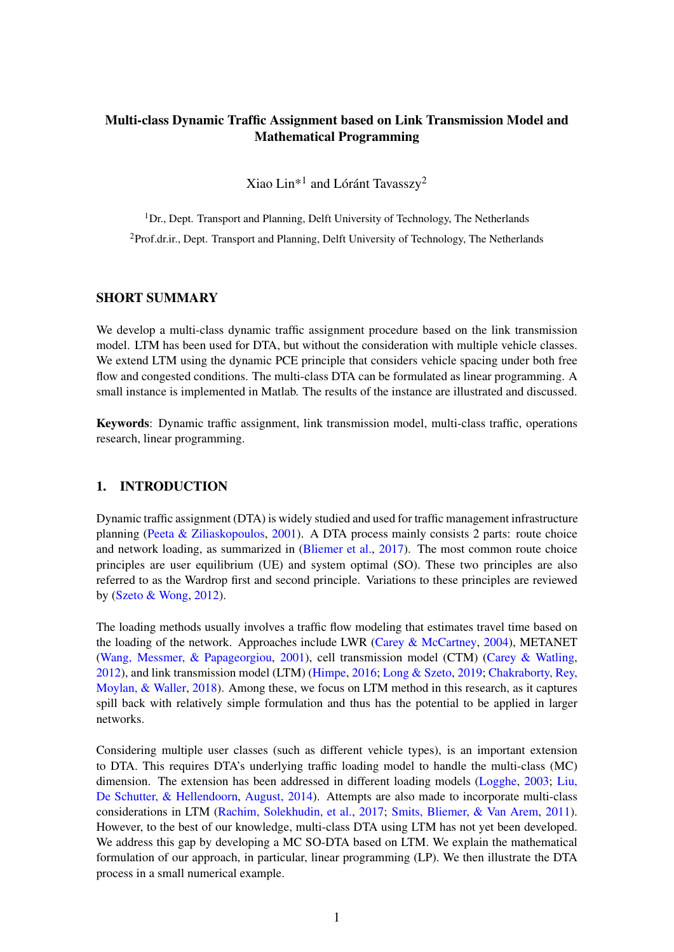# Multi-class Dynamic Traffic Assignment based on Link Transmission Model and Mathematical Programming

Xiao Lin\*<sup>1</sup> and Lóránt Tavasszy<sup>2</sup>

 $1$ Dr., Dept. Transport and Planning, Delft University of Technology, The Netherlands <sup>2</sup>Prof.dr.ir., Dept. Transport and Planning, Delft University of Technology, The Netherlands

#### SHORT SUMMARY

We develop a multi-class dynamic traffic assignment procedure based on the link transmission model. LTM has been used for DTA, but without the consideration with multiple vehicle classes. We extend LTM using the dynamic PCE principle that considers vehicle spacing under both free flow and congested conditions. The multi-class DTA can be formulated as linear programming. A small instance is implemented in Matlab. The results of the instance are illustrated and discussed.

Keywords: Dynamic traffic assignment, link transmission model, multi-class traffic, operations research, linear programming.

# 1. INTRODUCTION

Dynamic traffic assignment (DTA) is widely studied and used for traffic management infrastructure planning [\(Peeta & Ziliaskopoulos,](#page-5-0) [2001\)](#page-5-0). A DTA process mainly consists 2 parts: route choice and network loading, as summarized in [\(Bliemer et al.,](#page-4-0) [2017\)](#page-4-0). The most common route choice principles are user equilibrium (UE) and system optimal (SO). These two principles are also referred to as the Wardrop first and second principle. Variations to these principles are reviewed by [\(Szeto & Wong,](#page-5-1) [2012\)](#page-5-1).

The loading methods usually involves a traffic flow modeling that estimates travel time based on the loading of the network. Approaches include LWR (Carey  $&$  McCartney, [2004\)](#page-4-1), METANET [\(Wang, Messmer, & Papageorgiou,](#page-5-2) [2001\)](#page-5-2), cell transmission model (CTM) [\(Carey & Watling,](#page-5-3) [2012\)](#page-5-3), and link transmission model (LTM) [\(Himpe,](#page-5-4) [2016;](#page-5-4) [Long & Szeto,](#page-5-5) [2019;](#page-5-5) [Chakraborty, Rey,](#page-5-6) [Moylan, & Waller,](#page-5-6) [2018\)](#page-5-6). Among these, we focus on LTM method in this research, as it captures spill back with relatively simple formulation and thus has the potential to be applied in larger networks.

Considering multiple user classes (such as different vehicle types), is an important extension to DTA. This requires DTA's underlying traffic loading model to handle the multi-class (MC) dimension. The extension has been addressed in different loading models [\(Logghe,](#page-5-7) [2003;](#page-5-7) [Liu,](#page-5-8) [De Schutter, & Hellendoorn,](#page-5-8) [August, 2014\)](#page-5-8). Attempts are also made to incorporate multi-class considerations in LTM [\(Rachim, Solekhudin, et al.,](#page-5-9) [2017;](#page-5-9) [Smits, Bliemer, & Van Arem,](#page-5-10) [2011\)](#page-5-10). However, to the best of our knowledge, multi-class DTA using LTM has not yet been developed. We address this gap by developing a MC SO-DTA based on LTM. We explain the mathematical formulation of our approach, in particular, linear programming (LP). We then illustrate the DTA process in a small numerical example.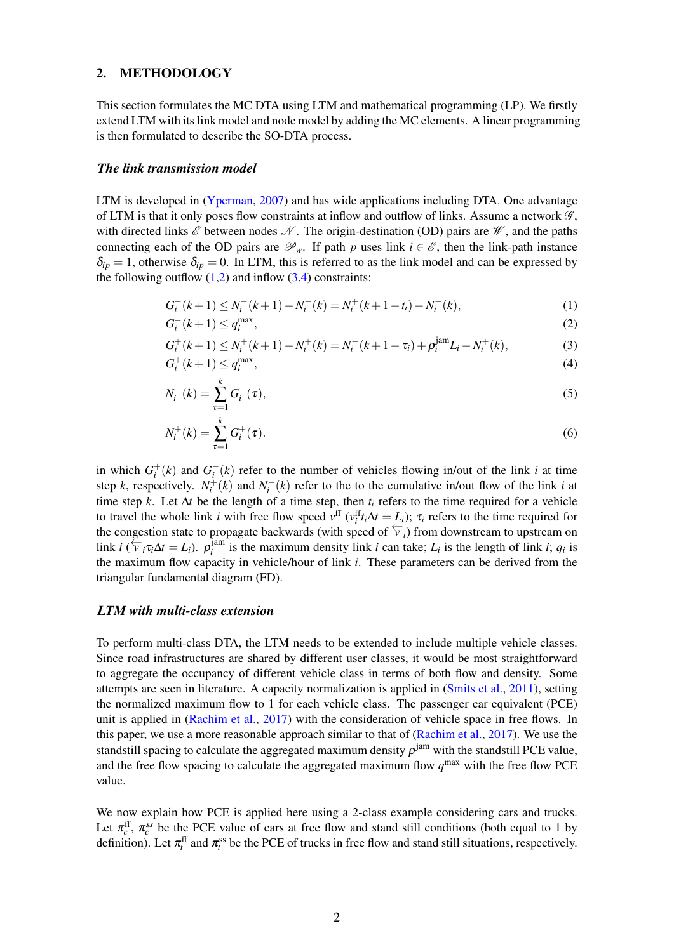#### 2. METHODOLOGY

This section formulates the MC DTA using LTM and mathematical programming (LP). We firstly extend LTM with its link model and node model by adding the MC elements. A linear programming is then formulated to describe the SO-DTA process.

#### *The link transmission model*

LTM is developed in [\(Yperman,](#page-5-11) [2007\)](#page-5-11) and has wide applications including DTA. One advantage of LTM is that it only poses flow constraints at inflow and outflow of links. Assume a network  $\mathscr{G}$ , with directed links  $\mathscr E$  between nodes  $\mathscr N$ . The origin-destination (OD) pairs are  $\mathscr W$ , and the paths connecting each of the OD pairs are  $\mathscr{P}_w$ . If path *p* uses link  $i \in \mathscr{E}$ , then the link-path instance  $\delta_{ip} = 1$ , otherwise  $\delta_{ip} = 0$ . In LTM, this is referred to as the link model and can be expressed by the following outflow  $(1,2)$  $(1,2)$  and inflow  $(3,4)$  $(3,4)$  constraints:

<span id="page-1-1"></span><span id="page-1-0"></span>
$$
G_i^-(k+1) \le N_i^-(k+1) - N_i^-(k) = N_i^+(k+1-t_i) - N_i^-(k),\tag{1}
$$

$$
G_i^-(k+1) \le q_i^{\max},\tag{2}
$$

<span id="page-1-2"></span>
$$
G_i^+(k+1) \le N_i^+(k+1) - N_i^+(k) = N_i^-(k+1 - \tau_i) + \rho_i^{jam} L_i - N_i^+(k),\tag{3}
$$

$$
G_i^+(k+1) \le q_i^{\max},\tag{4}
$$

<span id="page-1-3"></span>
$$
N_i^-(k) = \sum_{\tau=1}^k G_i^-(\tau),
$$
\n(5)

$$
N_i^+(k) = \sum_{\tau=1}^k G_i^+(\tau). \tag{6}
$$

in which  $G_i^+(k)$  and  $G_i^-(k)$  refer to the number of vehicles flowing in/out of the link *i* at time step *k*, respectively.  $N_i^+(k)$  and  $N_i^-(k)$  refer to the to the cumulative in/out flow of the link *i* at time step *k*. Let ∆*t* be the length of a time step, then *t<sup>i</sup>* refers to the time required for a vehicle to travel the whole link *i* with free flow speed  $v^{\text{ff}}(v_i^{\text{ff}}t_i\Delta t = L_i)$ ;  $\tau_i$  refers to the time required for the congestion state to propagate backwards (with speed of  $\overleftarrow{v}_i$ ) from downstream to upstream on link *i*  $(\overline{\overline{V}}_i \tau_i \Delta t = L_i)$ .  $\rho_i^{\text{jam}}$  $i$ <sup>lam</sup> is the maximum density link *i* can take;  $L_i$  is the length of link *i*;  $q_i$  is the maximum flow capacity in vehicle/hour of link *i*. These parameters can be derived from the triangular fundamental diagram (FD).

#### *LTM with multi-class extension*

To perform multi-class DTA, the LTM needs to be extended to include multiple vehicle classes. Since road infrastructures are shared by different user classes, it would be most straightforward to aggregate the occupancy of different vehicle class in terms of both flow and density. Some attempts are seen in literature. A capacity normalization is applied in [\(Smits et al.,](#page-5-10) [2011\)](#page-5-10), setting the normalized maximum flow to 1 for each vehicle class. The passenger car equivalent (PCE) unit is applied in [\(Rachim et al.,](#page-5-9) [2017\)](#page-5-9) with the consideration of vehicle space in free flows. In this paper, we use a more reasonable approach similar to that of [\(Rachim et al.,](#page-5-9) [2017\)](#page-5-9). We use the standstill spacing to calculate the aggregated maximum density  $\rho^\mathrm{jam}$  with the standstill PCE value, and the free flow spacing to calculate the aggregated maximum flow  $q^{\text{max}}$  with the free flow PCE value.

We now explain how PCE is applied here using a 2-class example considering cars and trucks. Let  $\pi_c^{\text{ff}}$ ,  $\pi_c^{ss}$  be the PCE value of cars at free flow and stand still conditions (both equal to 1 by definition). Let  $\pi_t^{\text{ff}}$  and  $\pi_t^{\text{ss}}$  be the PCE of trucks in free flow and stand still situations, respectively.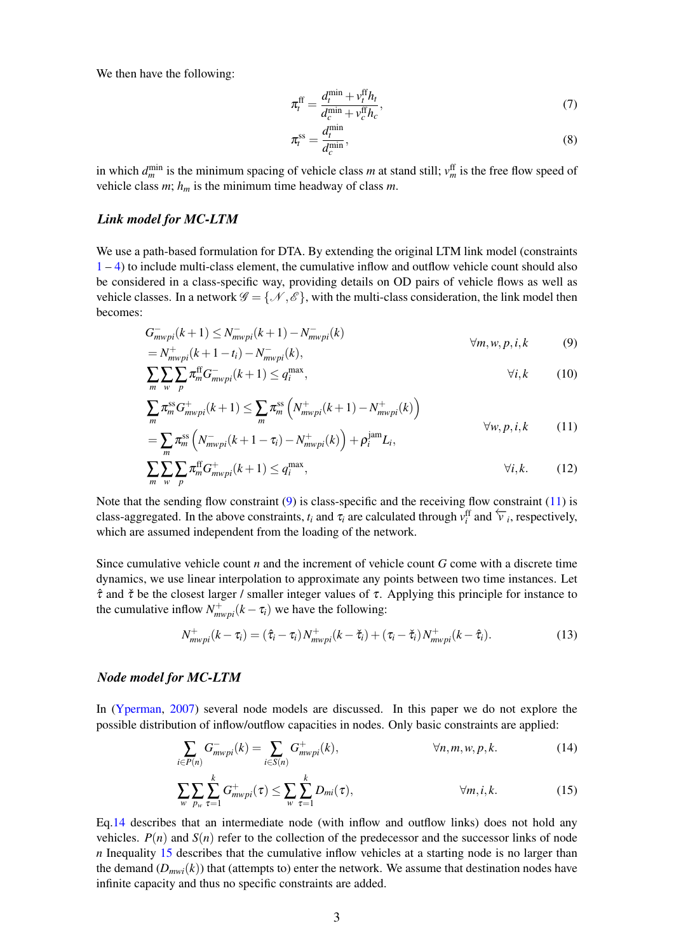We then have the following:

$$
\pi_t^{\text{ff}} = \frac{d_t^{\min} + v_t^{\text{ff}} h_t}{d_c^{\min} + v_c^{\text{ff}} h_c},\tag{7}
$$

<span id="page-2-1"></span><span id="page-2-0"></span>
$$
\pi_t^{\text{ss}} = \frac{d_t^{\min}}{d_c^{\min}},\tag{8}
$$

in which  $d_m^{\min}$  is the minimum spacing of vehicle class *m* at stand still;  $v_m^{\text{ff}}$  is the free flow speed of vehicle class  $m$ ;  $h_m$  is the minimum time headway of class  $m$ .

#### *Link model for MC-LTM*

We use a path-based formulation for DTA. By extending the original LTM link model (constraints  $1 - 4$  $1 - 4$ ) to include multi-class element, the cumulative inflow and outflow vehicle count should also be considered in a class-specific way, providing details on OD pairs of vehicle flows as well as vehicle classes. In a network  $\mathscr{G} = \{ \mathscr{N}, \mathscr{E} \}$ , with the multi-class consideration, the link model then becomes:

$$
G_{mwpi}^{-}(k+1) \le N_{mwpi}^{-}(k+1) - N_{mwpi}^{-}(k)
$$
  
=  $N_{mwpi}^{+}(k+1-t_i) - N_{mwpi}^{-}(k)$ ,  $\forall m, w, p, i, k$  (9)

$$
\sum_{m} \sum_{\nu} \sum_{p} \pi_{m}^{\text{ff}} G_{m\nu p i}^{-}(k+1) \leq q_{i}^{\max}, \qquad \forall i, k \qquad (10)
$$

$$
\sum_{m} \pi_{m}^{\text{ss}} G_{mwpi}^{+}(k+1) \leq \sum_{m} \pi_{m}^{\text{ss}} \left( N_{mwpi}^{+}(k+1) - N_{mwpi}^{+}(k) \right)
$$
\n
$$
= \sum_{m} \pi_{m}^{\text{ss}} \left( N_{mwpi}^{-}(k+1 - \tau_{i}) - N_{mwpi}^{+}(k) \right) + \rho_{i}^{\text{jam}} L_{i}, \qquad (11)
$$

<span id="page-2-4"></span>
$$
\sum_{m} \sum_{w} \sum_{p} \pi_{m}^{\text{ff}} G_{mwpi}^{+}(k+1) \leq q_{i}^{\max}, \qquad \qquad \forall i, k. \qquad (12)
$$

Note that the sending flow constraint  $(9)$  is class-specific and the receiving flow constraint  $(11)$  is class-aggregated. In the above constraints,  $t_i$  and  $\tau_i$  are calculated through  $v_i^{\text{ff}}$  and  $\overleftarrow{v}_i$ , respectively, which are assumed independent from the loading of the network.

Since cumulative vehicle count *n* and the increment of vehicle count *G* come with a discrete time dynamics, we use linear interpolation to approximate any points between two time instances. Let  $\hat{\tau}$  and  $\check{\tau}$  be the closest larger / smaller integer values of  $\tau$ . Applying this principle for instance to the cumulative inflow  $N^+_{mwpi}(k - \tau_i)$  we have the following:

$$
N_{mwpi}^+(k-\tau_i) = (\hat{\tau}_i - \tau_i) N_{mwpi}^+(k-\check{\tau}_i) + (\tau_i - \check{\tau}_i) N_{mwpi}^+(k-\hat{\tau}_i).
$$
\n(13)

#### *Node model for MC-LTM*

In [\(Yperman,](#page-5-11) [2007\)](#page-5-11) several node models are discussed. In this paper we do not explore the possible distribution of inflow/outflow capacities in nodes. Only basic constraints are applied:

<span id="page-2-2"></span>
$$
\sum_{i \in P(n)} G_{mwpi}^{-}(k) = \sum_{i \in S(n)} G_{mwpi}^{+}(k), \qquad \forall n, m, w, p, k. \qquad (14)
$$

<span id="page-2-3"></span>
$$
\sum_{w} \sum_{p_w} \sum_{\tau=1}^k G_{mwpi}^+(\tau) \le \sum_{w} \sum_{\tau=1}^k D_{mi}(\tau), \qquad \forall m, i, k. \tag{15}
$$

Eq[.14](#page-2-2) describes that an intermediate node (with inflow and outflow links) does not hold any vehicles.  $P(n)$  and  $S(n)$  refer to the collection of the predecessor and the successor links of node *n* Inequality [15](#page-2-3) describes that the cumulative inflow vehicles at a starting node is no larger than the demand  $(D_{mwi}(k))$  that (attempts to) enter the network. We assume that destination nodes have infinite capacity and thus no specific constraints are added.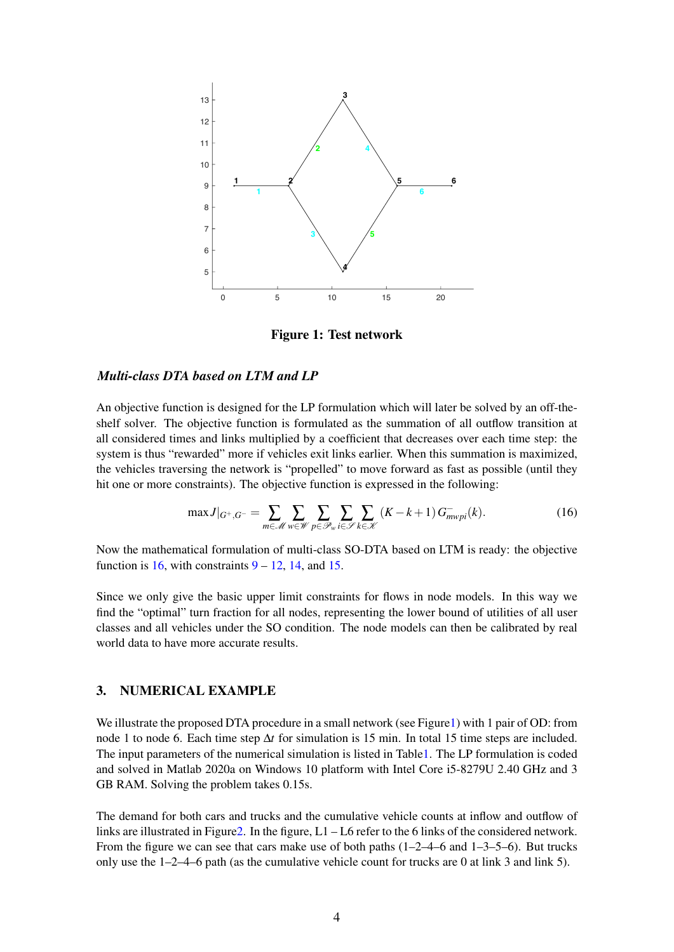<span id="page-3-1"></span>

<span id="page-3-0"></span>Figure 1: Test network

#### *Multi-class DTA based on LTM and LP*

An objective function is designed for the LP formulation which will later be solved by an off-theshelf solver. The objective function is formulated as the summation of all outflow transition at all considered times and links multiplied by a coefficient that decreases over each time step: the system is thus "rewarded" more if vehicles exit links earlier. When this summation is maximized, the vehicles traversing the network is "propelled" to move forward as fast as possible (until they hit one or more constraints). The objective function is expressed in the following:

$$
\max J|_{G^+,G^-} = \sum_{m \in \mathcal{M}} \sum_{w \in \mathcal{W}} \sum_{p \in \mathcal{P}_w} \sum_{i \in \mathcal{S}} \sum_{k \in \mathcal{K}} (K - k + 1) G^-_{mwpi}(k). \tag{16}
$$

Now the mathematical formulation of multi-class SO-DTA based on LTM is ready: the objective function is [16,](#page-3-0) with constraints  $9 - 12$  $9 - 12$ , [14,](#page-2-2) and [15.](#page-2-3)

Since we only give the basic upper limit constraints for flows in node models. In this way we find the "optimal" turn fraction for all nodes, representing the lower bound of utilities of all user classes and all vehicles under the SO condition. The node models can then be calibrated by real world data to have more accurate results.

### 3. NUMERICAL EXAMPLE

We illustrate the proposed DTA procedure in a small network (see Figure 1) with 1 pair of OD: from node 1 to node 6. Each time step ∆*t* for simulation is 15 min. In total 15 time steps are included. The input parameters of the numerical simulation is listed in Tabl[e1.](#page-4-2) The LP formulation is coded and solved in Matlab 2020a on Windows 10 platform with Intel Core i5-8279U 2.40 GHz and 3 GB RAM. Solving the problem takes 0.15s.

The demand for both cars and trucks and the cumulative vehicle counts at inflow and outflow of links are illustrated in Figure 2. In the figure,  $L1 - L6$  refer to the 6 links of the considered network. From the figure we can see that cars make use of both paths  $(1-2-4-6$  and  $1-3-5-6)$ . But trucks only use the 1–2–4–6 path (as the cumulative vehicle count for trucks are 0 at link 3 and link 5).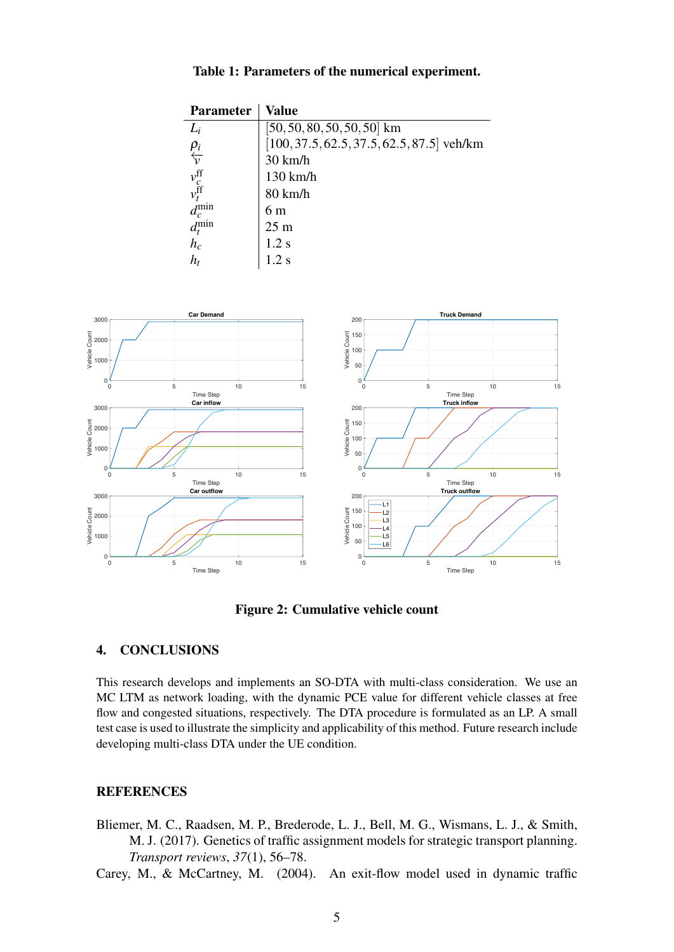# Table 1: Parameters of the numerical experiment.

<span id="page-4-2"></span>

| <b>Parameter</b>                  | Value                                        |
|-----------------------------------|----------------------------------------------|
| $L_i$                             | $[50, 50, 80, 50, 50, 50]$ km                |
|                                   | $[100, 37.5, 62.5, 37.5, 62.5, 87.5]$ veh/km |
| $\frac{\rho_i}{\sqrt{\nu}}$       | $30 \text{ km/h}$                            |
|                                   | 130 km/h                                     |
| $v_{c}^{\rm ff}$ $v_{t}^{\rm ff}$ | 80 km/h                                      |
| $d_c^{\min}$                      | 6 m                                          |
| $d_t^{\min}$                      | 25 <sub>m</sub>                              |
| $h_c$                             | 1.2 s                                        |
| h,                                | $1.2$ s                                      |

<span id="page-4-3"></span>

Figure 2: Cumulative vehicle count

# 4. CONCLUSIONS

This research develops and implements an SO-DTA with multi-class consideration. We use an MC LTM as network loading, with the dynamic PCE value for different vehicle classes at free flow and congested situations, respectively. The DTA procedure is formulated as an LP. A small test case is used to illustrate the simplicity and applicability of this method. Future research include developing multi-class DTA under the UE condition.

# **REFERENCES**

- <span id="page-4-0"></span>Bliemer, M. C., Raadsen, M. P., Brederode, L. J., Bell, M. G., Wismans, L. J., & Smith, M. J. (2017). Genetics of traffic assignment models for strategic transport planning. *Transport reviews*, *37*(1), 56–78.
- <span id="page-4-1"></span>Carey, M., & McCartney, M. (2004). An exit-flow model used in dynamic traffic